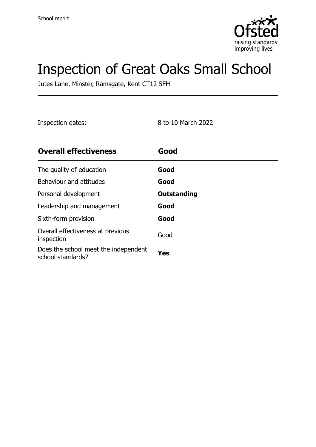

# Inspection of Great Oaks Small School

Jutes Lane, Minster, Ramsgate, Kent CT12 5FH

Inspection dates: 8 to 10 March 2022

| <b>Overall effectiveness</b>                              | Good        |
|-----------------------------------------------------------|-------------|
| The quality of education                                  | Good        |
| Behaviour and attitudes                                   | Good        |
| Personal development                                      | Outstanding |
| Leadership and management                                 | Good        |
| Sixth-form provision                                      | Good        |
| Overall effectiveness at previous<br>inspection           | Good        |
| Does the school meet the independent<br>school standards? | Yes         |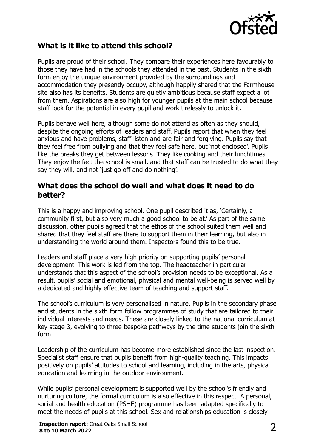

### **What is it like to attend this school?**

Pupils are proud of their school. They compare their experiences here favourably to those they have had in the schools they attended in the past. Students in the sixth form enjoy the unique environment provided by the surroundings and accommodation they presently occupy, although happily shared that the Farmhouse site also has its benefits. Students are quietly ambitious because staff expect a lot from them. Aspirations are also high for younger pupils at the main school because staff look for the potential in every pupil and work tirelessly to unlock it.

Pupils behave well here, although some do not attend as often as they should, despite the ongoing efforts of leaders and staff. Pupils report that when they feel anxious and have problems, staff listen and are fair and forgiving. Pupils say that they feel free from bullying and that they feel safe here, but 'not enclosed'. Pupils like the breaks they get between lessons. They like cooking and their lunchtimes. They enjoy the fact the school is small, and that staff can be trusted to do what they say they will, and not 'just go off and do nothing'.

#### **What does the school do well and what does it need to do better?**

This is a happy and improving school. One pupil described it as, 'Certainly, a community first, but also very much a good school to be at.' As part of the same discussion, other pupils agreed that the ethos of the school suited them well and shared that they feel staff are there to support them in their learning, but also in understanding the world around them. Inspectors found this to be true.

Leaders and staff place a very high priority on supporting pupils' personal development. This work is led from the top. The headteacher in particular understands that this aspect of the school's provision needs to be exceptional. As a result, pupils' social and emotional, physical and mental well-being is served well by a dedicated and highly effective team of teaching and support staff.

The school's curriculum is very personalised in nature. Pupils in the secondary phase and students in the sixth form follow programmes of study that are tailored to their individual interests and needs. These are closely linked to the national curriculum at key stage 3, evolving to three bespoke pathways by the time students join the sixth form.

Leadership of the curriculum has become more established since the last inspection. Specialist staff ensure that pupils benefit from high-quality teaching. This impacts positively on pupils' attitudes to school and learning, including in the arts, physical education and learning in the outdoor environment.

While pupils' personal development is supported well by the school's friendly and nurturing culture, the formal curriculum is also effective in this respect. A personal, social and health education (PSHE) programme has been adapted specifically to meet the needs of pupils at this school. Sex and relationships education is closely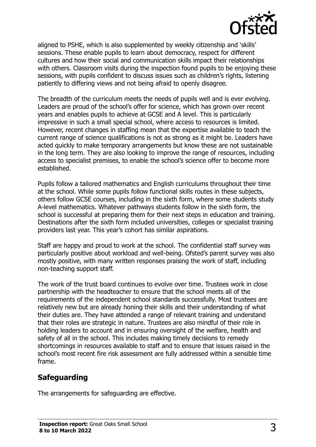

aligned to PSHE, which is also supplemented by weekly citizenship and 'skills' sessions. These enable pupils to learn about democracy, respect for different cultures and how their social and communication skills impact their relationships with others. Classroom visits during the inspection found pupils to be enjoying these sessions, with pupils confident to discuss issues such as children's rights, listening patiently to differing views and not being afraid to openly disagree.

The breadth of the curriculum meets the needs of pupils well and is ever evolving. Leaders are proud of the school's offer for science, which has grown over recent years and enables pupils to achieve at GCSE and A level. This is particularly impressive in such a small special school, where access to resources is limited. However, recent changes in staffing mean that the expertise available to teach the current range of science qualifications is not as strong as it might be. Leaders have acted quickly to make temporary arrangements but know these are not sustainable in the long term. They are also looking to improve the range of resources, including access to specialist premises, to enable the school's science offer to become more established.

Pupils follow a tailored mathematics and English curriculums throughout their time at the school. While some pupils follow functional skills routes in these subjects, others follow GCSE courses, including in the sixth form, where some students study A-level mathematics. Whatever pathways students follow in the sixth form, the school is successful at preparing them for their next steps in education and training. Destinations after the sixth form included universities, colleges or specialist training providers last year. This year's cohort has similar aspirations.

Staff are happy and proud to work at the school. The confidential staff survey was particularly positive about workload and well-being. Ofsted's parent survey was also mostly positive, with many written responses praising the work of staff, including non-teaching support staff.

The work of the trust board continues to evolve over time. Trustees work in close partnership with the headteacher to ensure that the school meets all of the requirements of the independent school standards successfully. Most trustees are relatively new but are already honing their skills and their understanding of what their duties are. They have attended a range of relevant training and understand that their roles are strategic in nature. Trustees are also mindful of their role in holding leaders to account and in ensuring oversight of the welfare, health and safety of all in the school. This includes making timely decisions to remedy shortcomings in resources available to staff and to ensure that issues raised in the school's most recent fire risk assessment are fully addressed within a sensible time frame.

### **Safeguarding**

The arrangements for safeguarding are effective.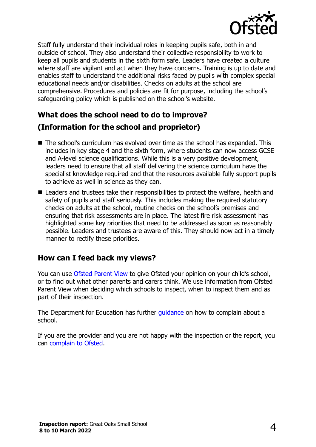

Staff fully understand their individual roles in keeping pupils safe, both in and outside of school. They also understand their collective responsibility to work to keep all pupils and students in the sixth form safe. Leaders have created a culture where staff are vigilant and act when they have concerns. Training is up to date and enables staff to understand the additional risks faced by pupils with complex special educational needs and/or disabilities. Checks on adults at the school are comprehensive. Procedures and policies are fit for purpose, including the school's safeguarding policy which is published on the school's website.

# **What does the school need to do to improve? (Information for the school and proprietor)**

- The school's curriculum has evolved over time as the school has expanded. This includes in key stage 4 and the sixth form, where students can now access GCSE and A-level science qualifications. While this is a very positive development, leaders need to ensure that all staff delivering the science curriculum have the specialist knowledge required and that the resources available fully support pupils to achieve as well in science as they can.
- Leaders and trustees take their responsibilities to protect the welfare, health and safety of pupils and staff seriously. This includes making the required statutory checks on adults at the school, routine checks on the school's premises and ensuring that risk assessments are in place. The latest fire risk assessment has highlighted some key priorities that need to be addressed as soon as reasonably possible. Leaders and trustees are aware of this. They should now act in a timely manner to rectify these priorities.

### **How can I feed back my views?**

You can use [Ofsted Parent View](http://parentview.ofsted.gov.uk/) to give Ofsted your opinion on your child's school, or to find out what other parents and carers think. We use information from Ofsted Parent View when deciding which schools to inspect, when to inspect them and as part of their inspection.

The Department for Education has further quidance on how to complain about a school.

If you are the provider and you are not happy with the inspection or the report, you can [complain to Ofsted.](http://www.gov.uk/complain-ofsted-report)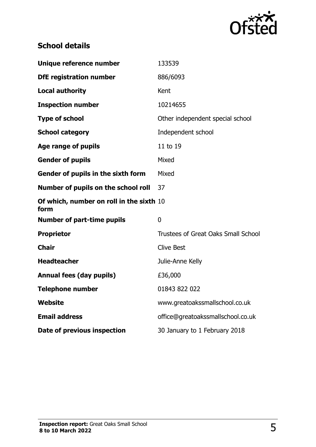

# **School details**

| Unique reference number                          | 133539                                     |
|--------------------------------------------------|--------------------------------------------|
| <b>DfE registration number</b>                   | 886/6093                                   |
| <b>Local authority</b>                           | Kent                                       |
| <b>Inspection number</b>                         | 10214655                                   |
| <b>Type of school</b>                            | Other independent special school           |
| <b>School category</b>                           | Independent school                         |
| Age range of pupils                              | 11 to 19                                   |
| <b>Gender of pupils</b>                          | Mixed                                      |
| Gender of pupils in the sixth form               | Mixed                                      |
| Number of pupils on the school roll              | 37                                         |
| Of which, number on roll in the sixth 10<br>form |                                            |
| <b>Number of part-time pupils</b>                | $\overline{0}$                             |
| <b>Proprietor</b>                                | <b>Trustees of Great Oaks Small School</b> |
| <b>Chair</b>                                     | <b>Clive Best</b>                          |
| <b>Headteacher</b>                               | Julie-Anne Kelly                           |
| <b>Annual fees (day pupils)</b>                  | £36,000                                    |
| <b>Telephone number</b>                          | 01843 822 022                              |
| <b>Website</b>                                   | www.greatoakssmallschool.co.uk             |
| <b>Email address</b>                             | office@greatoakssmallschool.co.uk          |
| Date of previous inspection                      | 30 January to 1 February 2018              |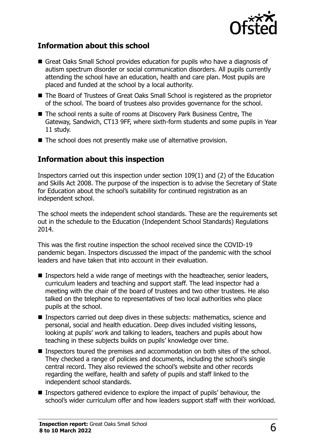

#### **Information about this school**

- Great Oaks Small School provides education for pupils who have a diagnosis of autism spectrum disorder or social communication disorders. All pupils currently attending the school have an education, health and care plan. Most pupils are placed and funded at the school by a local authority.
- The Board of Trustees of Great Oaks Small School is registered as the proprietor of the school. The board of trustees also provides governance for the school.
- The school rents a suite of rooms at Discovery Park Business Centre, The Gateway, Sandwich, CT13 9FF, where sixth-form students and some pupils in Year 11 study.
- The school does not presently make use of alternative provision.

#### **Information about this inspection**

Inspectors carried out this inspection under section 109(1) and (2) of the Education and Skills Act 2008. The purpose of the inspection is to advise the Secretary of State for Education about the school's suitability for continued registration as an independent school.

The school meets the independent school standards. These are the requirements set out in the schedule to the Education (Independent School Standards) Regulations 2014.

This was the first routine inspection the school received since the COVID-19 pandemic began. Inspectors discussed the impact of the pandemic with the school leaders and have taken that into account in their evaluation.

- Inspectors held a wide range of meetings with the headteacher, senior leaders, curriculum leaders and teaching and support staff. The lead inspector had a meeting with the chair of the board of trustees and two other trustees. He also talked on the telephone to representatives of two local authorities who place pupils at the school.
- Inspectors carried out deep dives in these subjects: mathematics, science and personal, social and health education. Deep dives included visiting lessons, looking at pupils' work and talking to leaders, teachers and pupils about how teaching in these subjects builds on pupils' knowledge over time.
- **Inspectors toured the premises and accommodation on both sites of the school.** They checked a range of policies and documents, including the school's single central record. They also reviewed the school's website and other records regarding the welfare, health and safety of pupils and staff linked to the independent school standards.
- Inspectors gathered evidence to explore the impact of pupils' behaviour, the school's wider curriculum offer and how leaders support staff with their workload.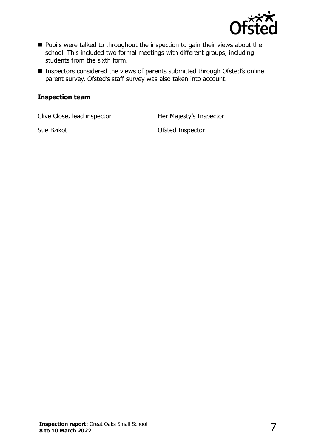

- **Pupils were talked to throughout the inspection to gain their views about the** school. This included two formal meetings with different groups, including students from the sixth form.
- **Inspectors considered the views of parents submitted through Ofsted's online** parent survey. Ofsted's staff survey was also taken into account.

#### **Inspection team**

Clive Close, lead inspector **Her Majesty's Inspector** 

Sue Bzikot **Contract Contract Contract Contract Contract Contract Contract Contract Contract Contract Contract Contract Contract Contract Contract Contract Contract Contract Contract Contract Contract Contract Contract Con**